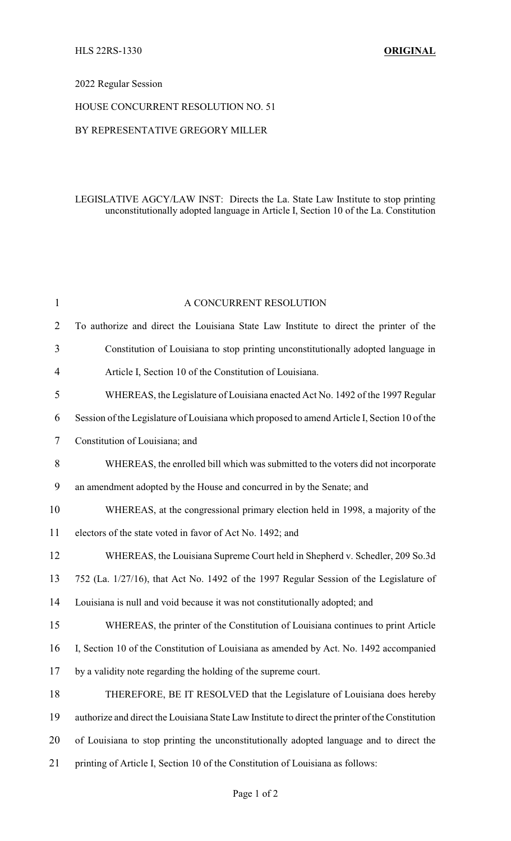## 2022 Regular Session

#### HOUSE CONCURRENT RESOLUTION NO. 51

### BY REPRESENTATIVE GREGORY MILLER

## LEGISLATIVE AGCY/LAW INST: Directs the La. State Law Institute to stop printing unconstitutionally adopted language in Article I, Section 10 of the La. Constitution

| $\mathbf{1}$   | A CONCURRENT RESOLUTION                                                                          |
|----------------|--------------------------------------------------------------------------------------------------|
| 2              | To authorize and direct the Louisiana State Law Institute to direct the printer of the           |
| 3              | Constitution of Louisiana to stop printing unconstitutionally adopted language in                |
| $\overline{4}$ | Article I, Section 10 of the Constitution of Louisiana.                                          |
| 5              | WHEREAS, the Legislature of Louisiana enacted Act No. 1492 of the 1997 Regular                   |
| 6              | Session of the Legislature of Louisiana which proposed to amend Article I, Section 10 of the     |
| 7              | Constitution of Louisiana; and                                                                   |
| 8              | WHEREAS, the enrolled bill which was submitted to the voters did not incorporate                 |
| 9              | an amendment adopted by the House and concurred in by the Senate; and                            |
| 10             | WHEREAS, at the congressional primary election held in 1998, a majority of the                   |
| 11             | electors of the state voted in favor of Act No. 1492; and                                        |
| 12             | WHEREAS, the Louisiana Supreme Court held in Shepherd v. Schedler, 209 So.3d                     |
| 13             | 752 (La. 1/27/16), that Act No. 1492 of the 1997 Regular Session of the Legislature of           |
| 14             | Louisiana is null and void because it was not constitutionally adopted; and                      |
| 15             | WHEREAS, the printer of the Constitution of Louisiana continues to print Article                 |
| 16             | I, Section 10 of the Constitution of Louisiana as amended by Act. No. 1492 accompanied           |
| 17             | by a validity note regarding the holding of the supreme court.                                   |
| 18             | THEREFORE, BE IT RESOLVED that the Legislature of Louisiana does hereby                          |
| 19             | authorize and direct the Louisiana State Law Institute to direct the printer of the Constitution |
| 20             | of Louisiana to stop printing the unconstitutionally adopted language and to direct the          |
| 21             | printing of Article I, Section 10 of the Constitution of Louisiana as follows:                   |